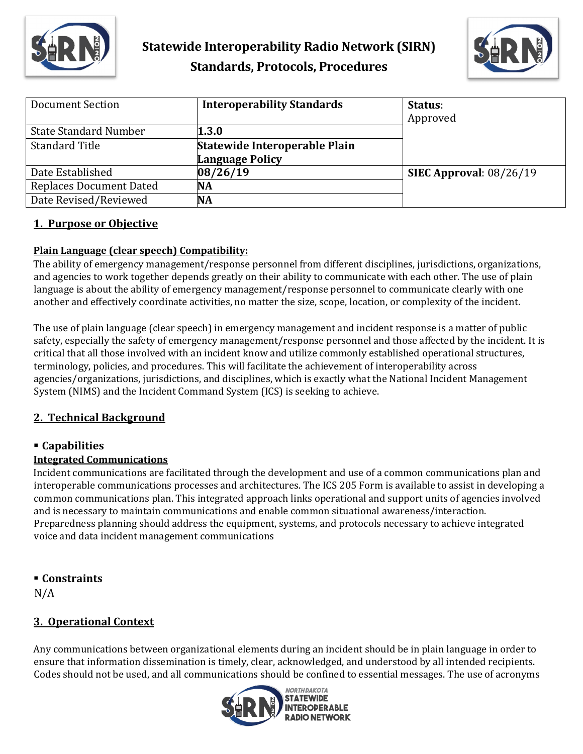



| Document Section               | <b>Interoperability Standards</b>                       | Status:<br>Approved       |
|--------------------------------|---------------------------------------------------------|---------------------------|
| <b>State Standard Number</b>   | 1.3.0                                                   |                           |
| <b>Standard Title</b>          | Statewide Interoperable Plain<br><b>Language Policy</b> |                           |
| Date Established               | 08/26/19                                                | SIEC Approval: $08/26/19$ |
| <b>Replaces Document Dated</b> | <b>NA</b>                                               |                           |
| Date Revised/Reviewed          | <b>NA</b>                                               |                           |

## **1. Purpose or Objective**

## **Plain Language (clear speech) Compatibility:**

The ability of emergency management/response personnel from different disciplines, jurisdictions, organizations, and agencies to work together depends greatly on their ability to communicate with each other. The use of plain language is about the ability of emergency management/response personnel to communicate clearly with one another and effectively coordinate activities, no matter the size, scope, location, or complexity of the incident.

The use of plain language (clear speech) in emergency management and incident response is a matter of public safety, especially the safety of emergency management/response personnel and those affected by the incident. It is critical that all those involved with an incident know and utilize commonly established operational structures, terminology, policies, and procedures. This will facilitate the achievement of interoperability across agencies/organizations, jurisdictions, and disciplines, which is exactly what the National Incident Management System (NIMS) and the Incident Command System (ICS) is seeking to achieve.

## **2. Technical Background**

## **Capabilities**

## **Integrated Communications**

Incident communications are facilitated through the development and use of a common communications plan and interoperable communications processes and architectures. The ICS 205 Form is available to assist in developing a common communications plan. This integrated approach links operational and support units of agencies involved and is necessary to maintain communications and enable common situational awareness/interaction. Preparedness planning should address the equipment, systems, and protocols necessary to achieve integrated voice and data incident management communications

**Constraints** 

 $N/A$ 

## **3. Operational Context**

Any communications between organizational elements during an incident should be in plain language in order to ensure that information dissemination is timely, clear, acknowledged, and understood by all intended recipients. Codes should not be used, and all communications should be confined to essential messages. The use of acronyms

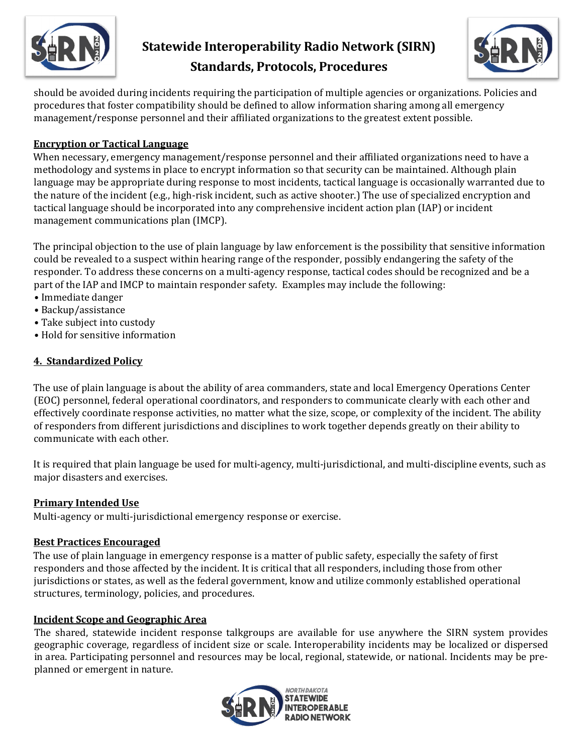

# **Statewide Interoperability Radio Network (SIRN) Standards, Protocols, Procedures**



should be avoided during incidents requiring the participation of multiple agencies or organizations. Policies and procedures that foster compatibility should be defined to allow information sharing among all emergency management/response personnel and their affiliated organizations to the greatest extent possible.

## **Encryption or Tactical Language**

When necessary, emergency management/response personnel and their affiliated organizations need to have a methodology and systems in place to encrypt information so that security can be maintained. Although plain language may be appropriate during response to most incidents, tactical language is occasionally warranted due to the nature of the incident (e.g., high-risk incident, such as active shooter.) The use of specialized encryption and tactical language should be incorporated into any comprehensive incident action plan (IAP) or incident management communications plan (IMCP).

The principal objection to the use of plain language by law enforcement is the possibility that sensitive information could be revealed to a suspect within hearing range of the responder, possibly endangering the safety of the responder. To address these concerns on a multi-agency response, tactical codes should be recognized and be a part of the IAP and IMCP to maintain responder safety. Examples may include the following:

- Immediate danger
- Backup/assistance
- Take subject into custody
- Hold for sensitive information

## **4. Standardized Policy**

The use of plain language is about the ability of area commanders, state and local Emergency Operations Center (EOC) personnel, federal operational coordinators, and responders to communicate clearly with each other and effectively coordinate response activities, no matter what the size, scope, or complexity of the incident. The ability of responders from different jurisdictions and disciplines to work together depends greatly on their ability to communicate with each other.

It is required that plain language be used for multi-agency, multi-jurisdictional, and multi-discipline events, such as major disasters and exercises.

## **Primary Intended Use**

Multi-agency or multi-jurisdictional emergency response or exercise.

## **Best Practices Encouraged**

The use of plain language in emergency response is a matter of public safety, especially the safety of first responders and those affected by the incident. It is critical that all responders, including those from other jurisdictions or states, as well as the federal government, know and utilize commonly established operational structures, terminology, policies, and procedures.

## **Incident Scope and Geographic Area**

The shared, statewide incident response talkgroups are available for use anywhere the SIRN system provides geographic coverage, regardless of incident size or scale. Interoperability incidents may be localized or dispersed in area. Participating personnel and resources may be local, regional, statewide, or national. Incidents may be preplanned or emergent in nature.